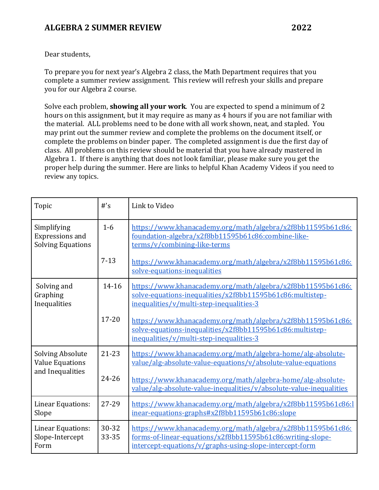#### Dear students,

To prepare you for next year's Algebra 2 class, the Math Department requires that you complete a summer review assignment. This review will refresh your skills and prepare you for our Algebra 2 course.

Solve each problem, **showing all your work**. You are expected to spend a minimum of 2 hours on this assignment, but it may require as many as 4 hours if you are not familiar with the material. ALL problems need to be done with all work shown, neat, and stapled. You may print out the summer review and complete the problems on the document itself, or complete the problems on binder paper. The completed assignment is due the first day of class. All problems on this review should be material that you have already mastered in Algebra 1. If there is anything that does not look familiar, please make sure you get the proper help during the summer. Here are links to helpful Khan Academy Videos if you need to review any topics.

| Topic                                                                 | $#$ 's         | Link to Video                                                                                                                                                                        |
|-----------------------------------------------------------------------|----------------|--------------------------------------------------------------------------------------------------------------------------------------------------------------------------------------|
| Simplifying<br>Expressions and<br><b>Solving Equations</b>            | $1-6$          | https://www.khanacademy.org/math/algebra/x2f8bb11595b61c86:<br>foundation-algebra/x2f8bb11595b61c86:combine-like-<br>terms/v/combining-like-terms                                    |
|                                                                       | $7 - 13$       | https://www.khanacademy.org/math/algebra/x2f8bb11595b61c86:<br>solve-equations-inequalities                                                                                          |
| Solving and<br>Graphing<br>Inequalities                               | 14-16          | https://www.khanacademy.org/math/algebra/x2f8bb11595b61c86:<br>solve-equations-inequalities/x2f8bb11595b61c86:multistep-<br>inequalities/v/multi-step-inequalities-3                 |
|                                                                       | $17 - 20$      | https://www.khanacademy.org/math/algebra/x2f8bb11595b61c86:<br>solve-equations-inequalities/x2f8bb11595b61c86:multistep-<br>inequalities/v/multi-step-inequalities-3                 |
| <b>Solving Absolute</b><br><b>Value Equations</b><br>and Inequalities | $21 - 23$      | https://www.khanacademy.org/math/algebra-home/alg-absolute-<br>value/alg-absolute-value-equations/v/absolute-value-equations                                                         |
|                                                                       | $24 - 26$      | https://www.khanacademy.org/math/algebra-home/alg-absolute-<br>value/alg-absolute-value-inequalities/v/absolute-value-inequalities                                                   |
| Linear Equations:<br>Slope                                            | 27-29          | https://www.khanacademy.org/math/algebra/x2f8bb11595b61c86:l<br>inear-equations-graphs#x2f8bb11595b61c86:slope                                                                       |
| Linear Equations:<br>Slope-Intercept<br>Form                          | 30-32<br>33-35 | https://www.khanacademy.org/math/algebra/x2f8bb11595b61c86:<br>forms-of-linear-equations/x2f8bb11595b61c86:writing-slope-<br>intercept-equations/v/graphs-using-slope-intercept-form |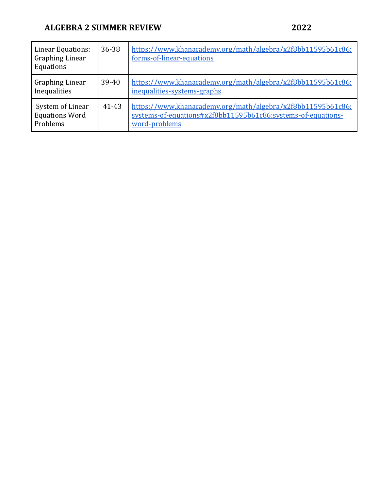| <b>Linear Equations:</b><br><b>Graphing Linear</b><br>Equations | 36-38 | https://www.khanacademy.org/math/algebra/x2f8bb11595b61c86:<br>forms-of-linear-equations                                                     |
|-----------------------------------------------------------------|-------|----------------------------------------------------------------------------------------------------------------------------------------------|
| <b>Graphing Linear</b><br>Inequalities                          | 39-40 | https://www.khanacademy.org/math/algebra/x2f8bb11595b61c86:<br>inequalities-systems-graphs                                                   |
| System of Linear<br><b>Equations Word</b><br>Problems           | 41-43 | https://www.khanacademy.org/math/algebra/x2f8bb11595b61c86:<br>systems-of-equations#x2f8bb11595b61c86:systems-of-equations-<br>word-problems |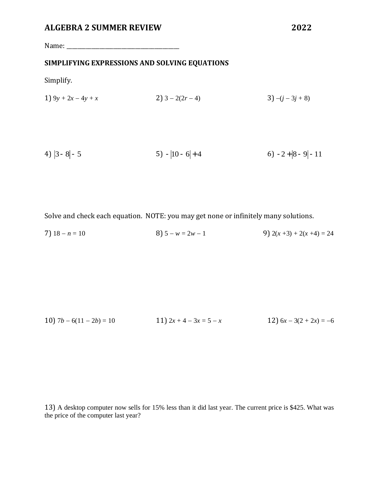Name: \_\_\_\_\_\_\_\_\_\_\_\_\_\_\_\_\_\_\_\_\_\_\_\_\_\_\_\_\_\_\_\_\_\_\_\_\_\_\_\_\_

#### **SIMPLIFYING EXPRESSIONS AND SOLVING EQUATIONS**

Simplify.

1) 
$$
9y + 2x - 4y + x
$$
  
2)  $3 - 2(2r - 4)$   
3)  $-(j - 3j + 8)$ 

4) 
$$
|3-8|-5
$$
 5)  $-|10-6|+4$  6)  $-2+|8-9|-11$ 

Solve and check each equation. NOTE: you may get none or infinitely many solutions.

7)  $18 - n = 10$  8)  $5 - w = 2w - 1$  9)  $2(x + 3) + 2(x + 4) = 24$ 

10) 
$$
7b - 6(11 - 2b) = 10
$$
  
11)  $2x + 4 - 3x = 5 - x$   
12)  $6x - 3(2 + 2x) = -6$ 

13) A desktop computer now sells for 15% less than it did last year. The current price is \$425. What was the price of the computer last year?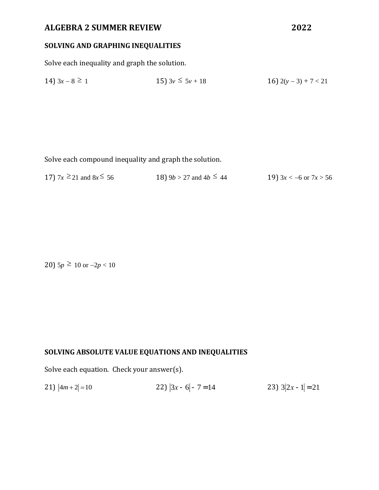# **SOLVING AND GRAPHING INEQUALITIES**

Solve each inequality and graph the solution.

14) 
$$
3x - 8 \ge 1
$$
  
15)  $3v \le 5v + 18$   
16)  $2(y - 3) + 7 < 21$ 

Solve each compound inequality and graph the solution.

17)  $7x \ge 21$  and  $8x \le 56$  18)  $9b > 27$  and  $4b \le$ 19)  $3x < -6$  or  $7x > 56$ 

20) 5*p* ≥ 10 or  $-2p < 10$ 

### **SOLVING ABSOLUTE VALUE EQUATIONS AND INEQUALITIES**

Solve each equation. Check your answer(s).

 $21$ )  $|4m+2|=10$ 22)  $|3x - 6| - 7 = 14$ 23)  $3|2x-1|=21$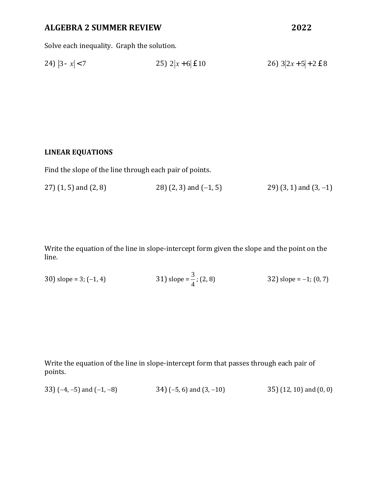Solve each inequality. Graph the solution.

24) 
$$
|3 - x| < 7
$$
  
25)  $2|x + 6| \le 10$   
26)  $3|2x + 5| + 2 \le 8$ 

#### **LINEAR EQUATIONS**

Find the slope of the line through each pair of points.

27) (1, 5) and (2, 8) 28) (2, 3) and (-1, 5) 29) (3, 1) and (3, -1)

Write the equation of the line in slope-intercept form given the slope and the point on the line.

30) slope = 3; (-1, 4)   
31) slope = 
$$
\frac{3}{4}
$$
; (2, 8)   
32) slope = -1; (0, 7)

Write the equation of the line in slope-intercept form that passes through each pair of points.

33)  $(-4, -5)$  and  $(-1, -8)$  34)  $(-5, 6)$  and  $(3, -10)$  35)  $(12, 10)$  and  $(0, 0)$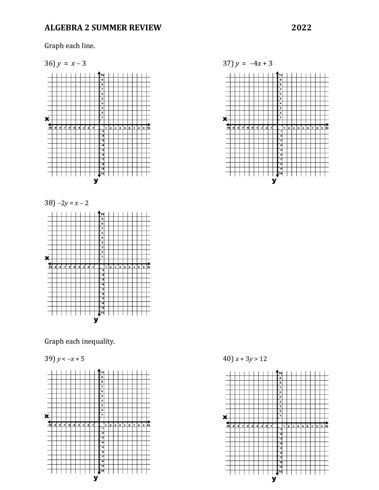Graph each line.





Graph each inequality.





39)  $y < -x + 5$  40)  $x + 3y > 12$